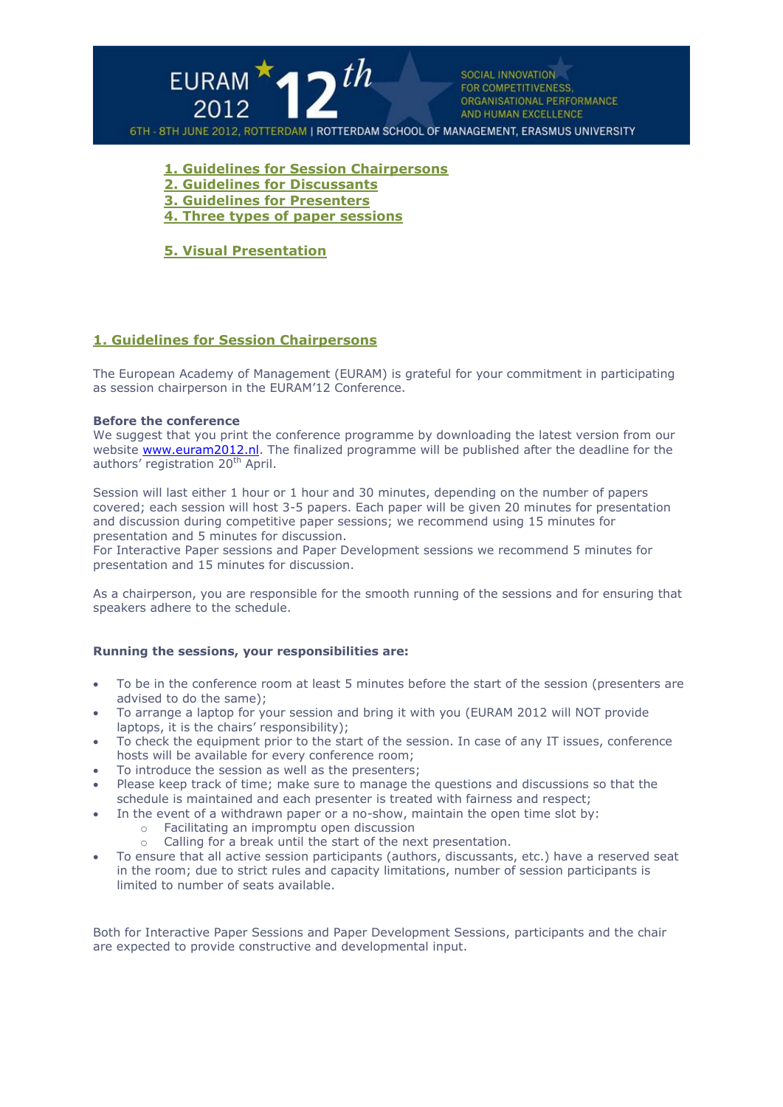

**1. [Guidelines for Session Chairpersons](http://www.euram2011.org/r/default.asp?iId=EJIJEF#1)**

- **[2. Guidelines for Discussants](http://www.euram2011.org/r/default.asp?iId=EJIJEF#2)**
- **[3. Guidelines for Presenters](http://www.euram2011.org/r/default.asp?iId=EJIJEF#3)**
- **[4. Three types of paper sessions](http://www.euram2011.org/r/default.asp?iId=EJIJEF#4)**

**5. Visual Presentation**

# **1. Guidelines for Session Chairpersons**

The European Academy of Management (EURAM) is grateful for your commitment in participating as session chairperson in the EURAM'12 Conference.

#### **Before the conference**

We suggest that you print the conference programme by downloading the latest version from our website [www.euram2012.nl.](http://www.euram2012.nl/) The finalized programme will be published after the deadline for the authors' registration 20<sup>th</sup> April.

Session will last either 1 hour or 1 hour and 30 minutes, depending on the number of papers covered; each session will host 3-5 papers. Each paper will be given 20 minutes for presentation and discussion during competitive paper sessions; we recommend using 15 minutes for presentation and 5 minutes for discussion.

For Interactive Paper sessions and Paper Development sessions we recommend 5 minutes for presentation and 15 minutes for discussion.

As a chairperson, you are responsible for the smooth running of the sessions and for ensuring that speakers adhere to the schedule.

### **Running the sessions, your responsibilities are:**

- To be in the conference room at least 5 minutes before the start of the session (presenters are advised to do the same);
- To arrange a laptop for your session and bring it with you (EURAM 2012 will NOT provide laptops, it is the chairs' responsibility);
- To check the equipment prior to the start of the session. In case of any IT issues, conference hosts will be available for every conference room;
- To introduce the session as well as the presenters;
- Please keep track of time; make sure to manage the questions and discussions so that the schedule is maintained and each presenter is treated with fairness and respect;
- In the event of a withdrawn paper or a no-show, maintain the open time slot by:
	- o Facilitating an impromptu open discussion
	- o Calling for a break until the start of the next presentation.
- To ensure that all active session participants (authors, discussants, etc.) have a reserved seat in the room; due to strict rules and capacity limitations, number of session participants is limited to number of seats available.

Both for Interactive Paper Sessions and Paper Development Sessions, participants and the chair are expected to provide constructive and developmental input.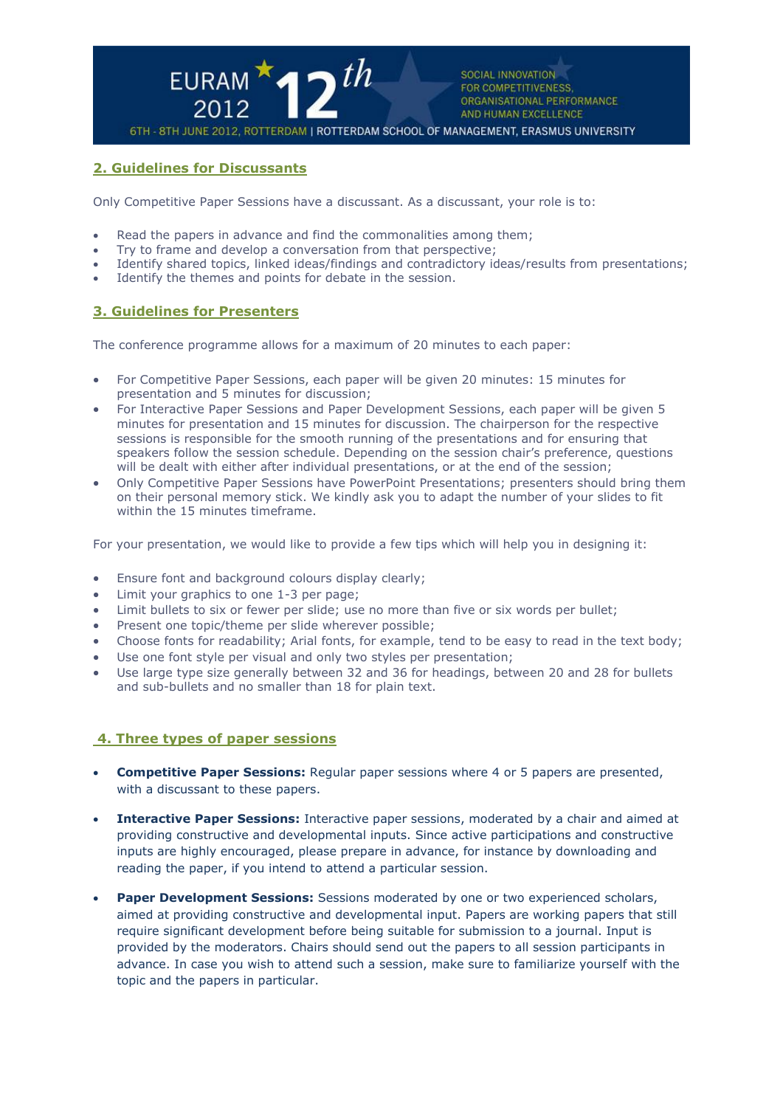

# **2. Guidelines for Discussants**

Only Competitive Paper Sessions have a discussant. As a discussant, your role is to:

- Read the papers in advance and find the commonalities among them;
- Try to frame and develop a conversation from that perspective;
- Identify shared topics, linked ideas/findings and contradictory ideas/results from presentations;
- Identify the themes and points for debate in the session.

### **3. Guidelines for Presenters**

The conference programme allows for a maximum of 20 minutes to each paper:

- For Competitive Paper Sessions, each paper will be given 20 minutes: 15 minutes for presentation and 5 minutes for discussion;
- For Interactive Paper Sessions and Paper Development Sessions, each paper will be given 5 minutes for presentation and 15 minutes for discussion. The chairperson for the respective sessions is responsible for the smooth running of the presentations and for ensuring that speakers follow the session schedule. Depending on the session chair's preference, questions will be dealt with either after individual presentations, or at the end of the session;
- Only Competitive Paper Sessions have PowerPoint Presentations; presenters should bring them on their personal memory stick. We kindly ask you to adapt the number of your slides to fit within the 15 minutes timeframe.

For your presentation, we would like to provide a few tips which will help you in designing it:

- Ensure font and background colours display clearly;
- Limit your graphics to one 1-3 per page;
- Limit bullets to six or fewer per slide; use no more than five or six words per bullet;
- Present one topic/theme per slide wherever possible;
- Choose fonts for readability; Arial fonts, for example, tend to be easy to read in the text body;
- Use one font style per visual and only two styles per presentation;
- Use large type size generally between 32 and 36 for headings, between 20 and 28 for bullets and sub-bullets and no smaller than 18 for plain text.

# **4. Three types of paper sessions**

- **Competitive Paper Sessions:** Regular paper sessions where 4 or 5 papers are presented, with a discussant to these papers.
- **Interactive Paper Sessions:** Interactive paper sessions, moderated by a chair and aimed at providing constructive and developmental inputs. Since active participations and constructive inputs are highly encouraged, please prepare in advance, for instance by downloading and reading the paper, if you intend to attend a particular session.
- **Paper Development Sessions:** Sessions moderated by one or two experienced scholars, aimed at providing constructive and developmental input. Papers are working papers that still require significant development before being suitable for submission to a journal. Input is provided by the moderators. Chairs should send out the papers to all session participants in advance. In case you wish to attend such a session, make sure to familiarize yourself with the topic and the papers in particular.